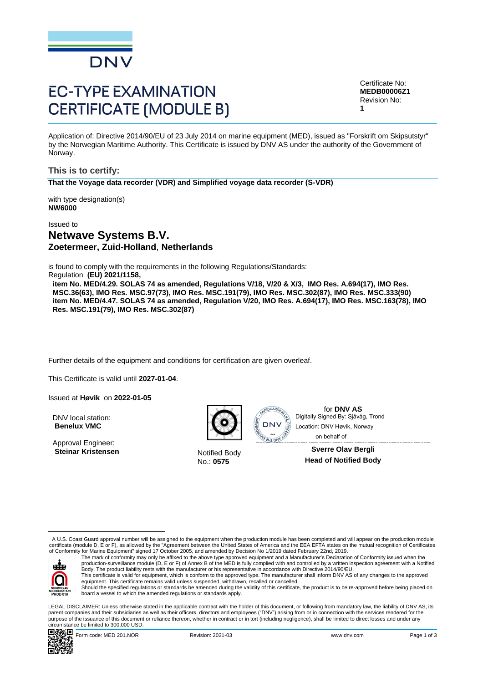

# **EC-TYPE EXAMINATION CERTIFICATE (MODULE B)**

Certificate No: **MEDB00006Z1** Revision No: **1**

Application of: Directive 2014/90/EU of 23 July 2014 on marine equipment (MED), issued as "Forskrift om Skipsutstyr" by the Norwegian Maritime Authority. This Certificate is issued by DNV AS under the authority of the Government of Norway.

**This is to certify: That the Voyage data recorder (VDR) and Simplified voyage data recorder (S-VDR)**

with type designation(s) **NW6000**

Issued to

# **Netwave Systems B.V. Zoetermeer, Zuid-Holland**, **Netherlands**

is found to comply with the requirements in the following Regulations/Standards:

Regulation **(EU) 2021/1158,** 

**item No. MED/4.29. SOLAS 74 as amended, Regulations V/18, V/20 & X/3, IMO Res. A.694(17), IMO Res. MSC.36(63), IMO Res. MSC.97(73), IMO Res. MSC.191(79), IMO Res. MSC.302(87), IMO Res. MSC.333(90) item No. MED/4.47. SOLAS 74 as amended, Regulation V/20, IMO Res. A.694(17), IMO Res. MSC.163(78), IMO Res. MSC.191(79), IMO Res. MSC.302(87)**

Further details of the equipment and conditions for certification are given overleaf.

... This Certificate is valid until **2027-01-04**.

Issued at **Høvik** on **2022-01-05**

DNV local station: **Benelux VMC**

Approval Engineer: **Steinar Kristensen** Notified Body



No.: **0575**



for **DNV AS**<br>Digitally Signed By: Sjåvåg, Trond on behalf ofLocation: DNV Høvik, Norway

> **Sverre Olav Bergli Head of Notified Body**

 A U.S. Coast Guard approval number will be assigned to the equipment when the production module has been completed and will appear on the production module certificate (module D, E or F), as allowed by the "Agreement between the United States of America and the EEA EFTA states on the mutual recognition of Certificates<br>of Conformity for Marine Equipment" signed 17 October 2005



The mark of conformity may only be affixed to the above type approved equipment and a Manufacturer's Declaration of Conformity issued when the<br>production-surveillance module (D, E or F) of Annex B of the MED is fully compl Body. The product liability rests with the manufacturer or his representative in accordance with Directive 2014/90/EU. This certificate is valid for equipment, which is conform to the approved type. The manufacturer shall inform DNV AS of any changes to the approved<br>equipment. This certificate remains valid unless suspended, withdrawn, rec

Should the specified regulations or standards be amended during the validity of this certificate, the product is to be re-approved before being placed on board a vessel to which the amended regulations or standards apply.

LEGAL DISCLAIMER: Unless otherwise stated in the applicable contract with the holder of this document, or following from mandatory law, the liability of DNV AS, its parent companies and their subsidiaries as well as their officers, directors and employees ("DNV") arising from or in connection with the services rendered for the purpose of the issuance of this document or reliance thereon, whether in contract or in tort (including negligence), shall be limited to direct losses and under any circumstance be limited to 300,000 USD. Collect Station:<br>
Moral Engineer: Controlling Represent By: Sjävåg, Trond<br>
AD.S. Coast Guard approval aumber will be assigned to the equipment when the production module has been completed and will spipe on the module of N

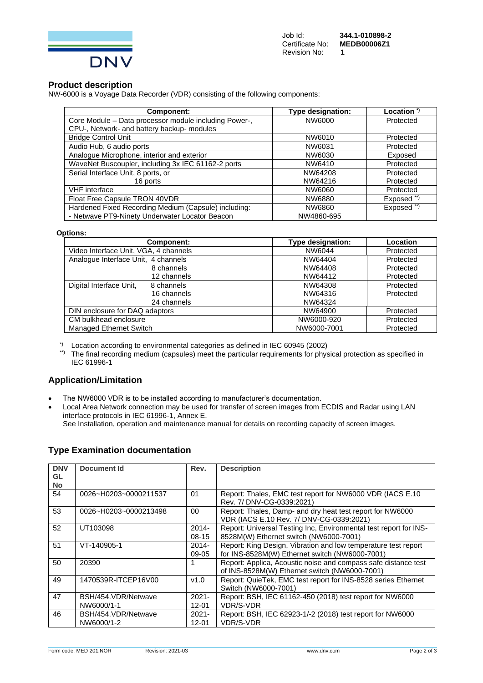

#### **Product description**

NW-6000 is a Voyage Data Recorder (VDR) consisting of the following components:

| Component:                                            | <b>Type designation:</b> | Location <sup>*)</sup> |
|-------------------------------------------------------|--------------------------|------------------------|
| Core Module - Data processor module including Power-, | NW6000                   | Protected              |
| CPU-, Network- and battery backup- modules            |                          |                        |
| <b>Bridge Control Unit</b>                            | NW6010                   | Protected              |
| Audio Hub, 6 audio ports                              | NW6031                   | Protected              |
| Analogue Microphone, interior and exterior            | NW6030                   | Exposed                |
| WaveNet Buscoupler, including 3x IEC 61162-2 ports    | NW6410                   | Protected              |
| Serial Interface Unit, 8 ports, or                    | NW64208                  | Protected              |
| 16 ports                                              | NW64216                  | Protected              |
| <b>VHF</b> interface                                  | NW6060                   | Protected              |
| Float Free Capsule TRON 40VDR                         | NW6880                   | Exposed **)            |
| Hardened Fixed Recording Medium (Capsule) including:  | NW6860                   | Exposed **)            |
| - Netwave PT9-Ninety Underwater Locator Beacon        | NW4860-695               |                        |

#### **Options:**

| Component:                            | <b>Type designation:</b> | Location  |
|---------------------------------------|--------------------------|-----------|
| Video Interface Unit, VGA, 4 channels | NW6044                   | Protected |
| Analogue Interface Unit, 4 channels   | NW64404                  | Protected |
| 8 channels                            | NW64408                  | Protected |
| 12 channels                           | NW64412                  | Protected |
| Digital Interface Unit,<br>8 channels | NW64308                  | Protected |
| 16 channels                           | NW64316                  | Protected |
| 24 channels                           | NW64324                  |           |
| DIN enclosure for DAQ adaptors        | NW64900                  | Protected |
| CM bulkhead enclosure                 | NW6000-920               | Protected |
| <b>Managed Ethernet Switch</b>        | NW6000-7001              | Protected |

\*) Location according to environmental categories as defined in IEC 60945 (2002)

\*\*) The final recording medium (capsules) meet the particular requirements for physical protection as specified in IEC 61996-1

#### **Application/Limitation**

• The NW6000 VDR is to be installed according to manufacturer's documentation.

• Local Area Network connection may be used for transfer of screen images from ECDIS and Radar using LAN interface protocols in IEC 61996-1, Annex E.

See Installation, operation and maintenance manual for details on recording capacity of screen images.

#### **Type Examination documentation**

| <b>DNV</b><br>GL<br><b>No</b> | Document Id                       | Rev.                  | <b>Description</b>                                                                                               |
|-------------------------------|-----------------------------------|-----------------------|------------------------------------------------------------------------------------------------------------------|
| 54                            | 0026~H0203~0000211537             | 01                    | Report: Thales, EMC test report for NW6000 VDR (IACS E.10)<br>Rev. 7/ DNV-CG-0339:2021)                          |
| 53                            | 0026~H0203~0000213498             | 00                    | Report: Thales, Damp- and dry heat test report for NW6000<br>VDR (IACS E.10 Rev. 7/ DNV-CG-0339:2021)            |
| 52                            | UT103098                          | $2014 -$<br>$08-15$   | Report: Universal Testing Inc, Environmental test report for INS-<br>8528M(W) Ethernet switch (NW6000-7001)      |
| 51                            | VT-140905-1                       | $2014 -$<br>09-05     | Report: King Design, Vibration and low temperature test report<br>for INS-8528M(W) Ethernet switch (NW6000-7001) |
| 50                            | 20390                             |                       | Report: Applica, Acoustic noise and compass safe distance test<br>of INS-8528M(W) Ethernet switch (NW6000-7001)  |
| 49                            | 1470539R-ITCEP16V00               | v1.0                  | Report: QuieTek, EMC test report for INS-8528 series Ethernet<br>Switch (NW6000-7001)                            |
| 47                            | BSH/454.VDR/Netwave<br>NW6000/1-1 | $2021 -$<br>$12 - 01$ | Report: BSH, IEC 61162-450 (2018) test report for NW6000<br>VDR/S-VDR                                            |
| 46                            | BSH/454.VDR/Netwave<br>NW6000/1-2 | $2021 -$<br>$12 - 01$ | Report: BSH, IEC 62923-1/-2 (2018) test report for NW6000<br><b>VDR/S-VDR</b>                                    |